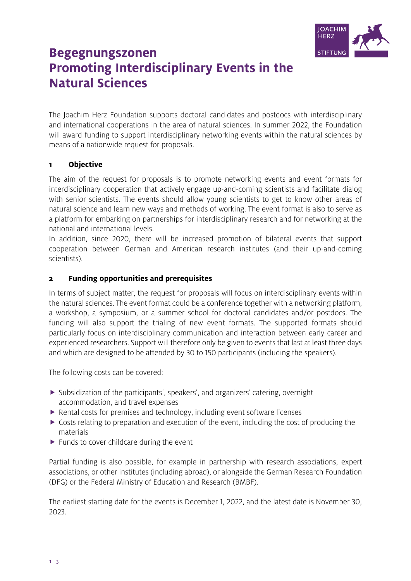

# **Begegnungszonen Promoting Interdisciplinary Events in the Natural Sciences**

The Joachim Herz Foundation supports doctoral candidates and postdocs with interdisciplinary and international cooperations in the area of natural sciences. In summer 2022, the Foundation will award funding to support interdisciplinary networking events within the natural sciences by means of a nationwide request for proposals.

## **Obiective**  $\mathbf{1}$

The aim of the request for proposals is to promote networking events and event formats for interdisciplinary cooperation that actively engage up-and-coming scientists and facilitate dialog with senior scientists. The events should allow young scientists to get to know other areas of natural science and learn new ways and methods of working. The event format is also to serve as a platform for embarking on partnerships for interdisciplinary research and for networking at the national and international levels.

In addition, since 2020, there will be increased promotion of bilateral events that support cooperation between German and American research institutes (and their up-and-coming scientists).

## **Funding opportunities and prerequisites**  $\overline{\mathbf{2}}$

In terms of subject matter, the request for proposals will focus on interdisciplinary events within the natural sciences. The event format could be a conference together with a networking platform, a workshop, a symposium, or a summer school for doctoral candidates and/or postdocs. The funding will also support the trialing of new event formats. The supported formats should particularly focus on interdisciplinary communication and interaction between early career and experienced researchers. Support will therefore only be given to events that last at least three days and which are designed to be attended by 30 to 150 participants (including the speakers).

The following costs can be covered:

- $\triangleright$  Subsidization of the participants', speakers', and organizers' catering, overnight accommodation, and travel expenses
- ▶ Rental costs for premises and technology, including event software licenses
- $\triangleright$  Costs relating to preparation and execution of the event, including the cost of producing the materials
- $\blacktriangleright$  Funds to cover childcare during the event

Partial funding is also possible, for example in partnership with research associations, expert associations, or other institutes (including abroad), or alongside the German Research Foundation (DFG) or the Federal Ministry of Education and Research (BMBF).

The earliest starting date for the events is December 1, 2022, and the latest date is November 30, 2023.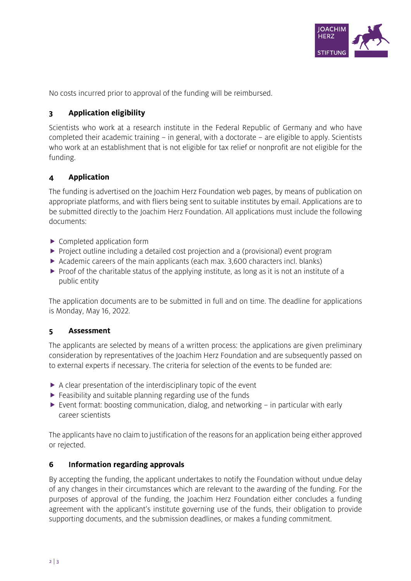

No costs incurred prior to approval of the funding will be reimbursed.

## **Application eligibility**  $\overline{\mathbf{3}}$

Scientists who work at a research institute in the Federal Republic of Germany and who have completed their academic training – in general, with a doctorate – are eligible to apply. Scientists who work at an establishment that is not eligible for tax relief or nonprofit are not eligible for the funding.

## **Application**  $\overline{\mathbf{4}}$

The funding is advertised on the Joachim Herz Foundation web pages, by means of publication on appropriate platforms, and with fliers being sent to suitable institutes by email. Applications are to be submitted directly to the Joachim Herz Foundation. All applications must include the following documents:

- ▶ Completed application form
- Project outline including a detailed cost projection and a (provisional) event program
- $\triangleright$  Academic careers of the main applicants (each max. 3,600 characters incl. blanks)
- $\triangleright$  Proof of the charitable status of the applying institute, as long as it is not an institute of a public entity

The application documents are to be submitted in full and on time. The deadline for applications is Monday, May 16, 2022.

## 5 **Assessment**

The applicants are selected by means of a written process: the applications are given preliminary consideration by representatives of the Joachim Herz Foundation and are subsequently passed on to external experts if necessary. The criteria for selection of the events to be funded are:

- $\triangleright$  A clear presentation of the interdisciplinary topic of the event
- $\blacktriangleright$  Feasibility and suitable planning regarding use of the funds
- ► Event format: boosting communication, dialog, and networking in particular with early career scientists

The applicants have no claim to justification of the reasons for an application being either approved or rejected.

## 6 Information regarding approvals

By accepting the funding, the applicant undertakes to notify the Foundation without undue delay of any changes in their circumstances which are relevant to the awarding of the funding. For the purposes of approval of the funding, the Joachim Herz Foundation either concludes a funding agreement with the applicant's institute governing use of the funds, their obligation to provide supporting documents, and the submission deadlines, or makes a funding commitment.